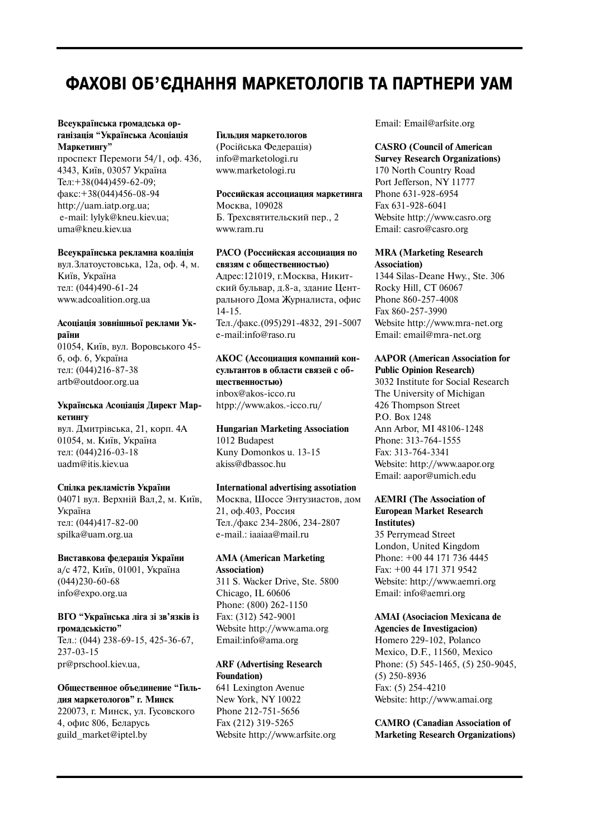# **ФАХОВІ ОБ'ЄДНАННЯ МАРКЕТОЛОГІВ ТА ПАРТНЕРИ УАМ**

#### **Всеукраїнська громадська ор ганізація "Українська Асоціація Маркетингу"**

проспект Перемоги 54/1, оф. 436, 4343, Київ, 03057 Україна Ten: +38(044)459-62-09:  $\text{q}$ акс: +38(044)456-08-94 http://uam.iatp.org.ua; email: lylyk@kneu.kiev.ua; uma@kneu.kiev.ua

#### **Всеукраїнська рекламна коаліція**

вул.Златоустовська, 12а, оф. 4, м. Київ, Україна тел: (044)490-61-24 www.adcoalition.org.ua

#### **Асоціація зовнішньої реклами Ук раїни**

01054, Київ, вул. Воровського 45 б, оф. 6, Україна тел: (044)216-87-38 artb@outdoor.org.ua

## **Українська Асоціація Директ Мар кетингу**

вул. Дмитрівська, 21, корп. 4А 01054, м. Київ, Україна тел: (044)216-03-18 uadm@itis.kiev.ua

#### **Спілка рекламістів України**

04071 вул. Верхній Вал,2, м. Київ, Україна тел: (044)417-82-00 spilka@uam.org.ua

#### **Виставкова федерація України**

а/с 472, Київ, 01001, Україна  $(044)230-60-68$ info@expo.org.ua

#### **ВГО "Українська ліга зі зв'язків із громадськістю"**

Тел.: (044) 238-69-15, 425-36-67, 237-03-15 pr@prschool.kiev.ua,

**Общественное объединение "Гиль дия маркетологов" г. Минск** 220073, г. Минск, ул. Гусовского 4, офис 806, Беларусь guild\_market@iptel.by

#### **Гильдия маркетологов**

(Російська Федерація) info@marketologi.ru www.marketologi.ru

## **Российская ассоциация маркетинга** Москва, 109028 Б. Трехсвятительский пер., 2

www.ram.ru

# **РАСО (Российская ассоциация по связям с общественностью)**

Адрес:121019, г.Москва, Никит ский бульвар, д.8-а, здание Центрального Дома Журналиста, офис  $14-15.$ Тел./факс.(095)291-4832, 291-5007 email:info@raso.ru

**АКОС (Ассоциация компаний кон сультантов в области связей с об щественностью)** inbox@akos-icco.ru htpp://www.akos.-icco.ru/

#### **Hungarian Marketing Association** 1012 Budapest

Kuny Domonkos u. 13-15 akiss@dbassoc.hu

## **International advertising assotiation**

Москва, Шоссе Энтузиастов, дом 21, оф.403, Россия Тел./факс 234-2806, 234-2807 email.: iaaiaa@mail.ru

#### **AMA (American Marketing Association)**

311 S. Wacker Drive, Ste. 5800 Chicago, IL 60606 Phone: (800) 262-1150 Fax: (312) 542-9001 Website http://www.ama.org Email:info@ama.org

## **ARF (Advertising Research Foundation)**

641 Lexington Avenue New York, NY 10022 Phone 212-751-5656 Fax (212) 319-5265 Website http://www.arfsite.org Email: Email@arfsite.org

# **CASRO (Council of American**

**Survey Research Organizations)** 170 North Country Road Port Jefferson, NY 11777 Phone 631-928-6954 Fax 631-928-6041 Website http://www.casro.org Email: casro@casro.org

## **MRA (Marketing Research Association)**

1344 Silas-Deane Hwy., Ste. 306 Rocky Hill, CT 06067 Phone 860-257-4008 Fax 860-257-3990 Website http://www.mra-net.org Email: email@mra-net.org

#### **AAPOR (American Association for Public Opinion Research)**

3032 Institute for Social Research The University of Michigan 426 Thompson Street P.O. Box 1248 Ann Arbor, MI 48106-1248 Phone: 313-764-1555 Fax: 313-764-3341 Website: http://www.aapor.org Email: aapor@umich.edu

#### **AEMRI (The Association of European Market Research Institutes)**

35 Perrymead Street London, United Kingdom Phone: +00 44 171 736 4445 Fax: +00 44 171 371 9542 Website: http://www.aemri.org Email: info@aemri.org

# **AMAI (Asociacion Mexicana de**

**Agencies de Investigacion)** Homero 229-102, Polanco Mexico, D.F., 11560, Mexico Phone: (5) 545-1465, (5) 250-9045,  $(5)$  250-8936 Fax: (5) 254-4210 Website: http://www.amai.org

## **CAMRO (Canadian Association of Marketing Research Organizations)**